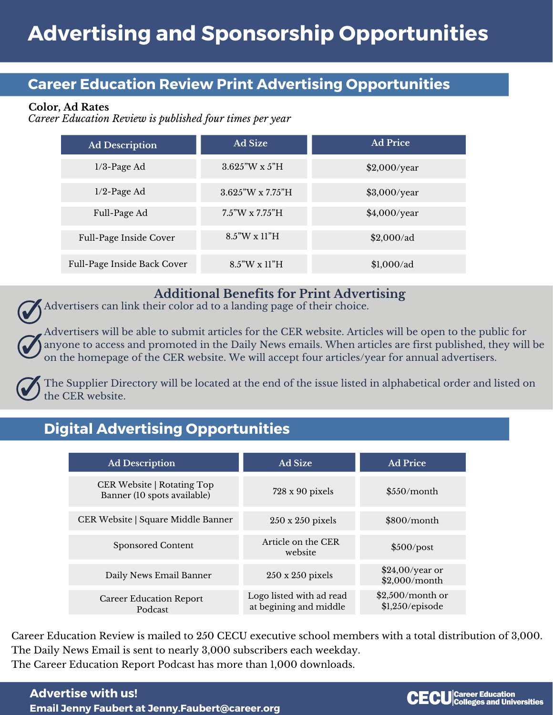### **Career Education Review Print Advertising Opportunities**

#### **Color, Ad Rates**

*Career Education Review is published four times per year*

| <b>Ad Description</b>       | <b>Ad Size</b>            | <b>Ad Price</b> |
|-----------------------------|---------------------------|-----------------|
| $1/3$ -Page Ad              | $3.625''W \times 5''H$    | \$2,000/year    |
| $1/2$ -Page Ad              | $3.625''W \times 7.75''H$ | \$3,000/year    |
| Full-Page Ad                | $7.5$ "W x $7.75$ "H      | \$4,000/year    |
| Full-Page Inside Cover      | 8.5"W x 11"H              | $$2,000$ /ad    |
| Full-Page Inside Back Cover | $8.5$ "W x 11"H           | $$1,000$ /ad    |

#### **Additional Benefits for Print Advertising**

Advertisers can link their color ad to a landing page of their choice.

Advertisers will be able to submit articles for the CER website. Articles will be open to the public for anyone to access and promoted in the Daily News emails. When articles are first published, they will be on the homepage of the CER website. We will accept four articles/year for annual advertisers.

The Supplier Directory will be located at the end of the issue listed in alphabetical order and listed on the CER website.

# **Digital Advertising Opportunities**

| <b>Ad Description</b>                                            | <b>Ad Size</b>                                     | <b>Ad Price</b>                         |
|------------------------------------------------------------------|----------------------------------------------------|-----------------------------------------|
| <b>CER Website   Rotating Top</b><br>Banner (10 spots available) | $728 \times 90$ pixels                             | \$550/month                             |
| CER Website   Square Middle Banner                               | $250 \times 250$ pixels                            | \$800/month                             |
| <b>Sponsored Content</b>                                         | Article on the CER<br>website                      | \$500/post                              |
| Daily News Email Banner                                          | $250 \times 250$ pixels                            | $$24,00/year$ or<br>\$2,000/month       |
| <b>Career Education Report</b><br>Podcast                        | Logo listed with ad read<br>at begining and middle | $$2,500/m$ onth or<br>$$1,250$ /episode |

Career Education Review is mailed to 250 CECU executive school members with a total distribution of 3,000. The Daily News Email is sent to nearly 3,000 subscribers each weekday. The Career Education Report Podcast has more than 1,000 downloads.